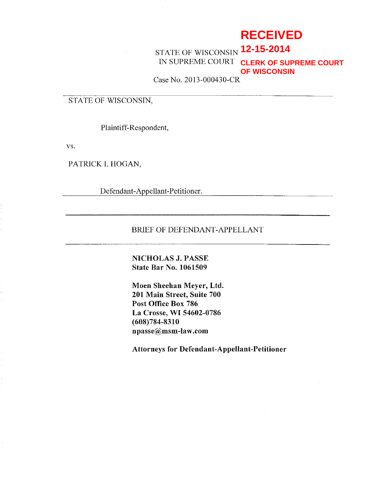# **RECEIVED**

## STATE OF WISCONSIN **12-15-2014** IN SUPREME COURT **CLERK OF SUPREME COURT OF WISCONSIN**

Case No. 2013-000430-CR

## STATE OF WISCONSIN,

Plaintiff-Respondent,

vs.

PATRICK I. HOGAN,

Defendant-Appellant-Petitioner.

### BRIEF OF DEFENDANT-APPELLANT

## NICHOLAS J. PASSE State Bar No. 1061509

Moen Sheehan Meyer, Ltd. 201 Main Street, Suite 700 Post Office Box 786 La Crosse, WI 54602-0786 (608)784-8310 npasse@msm-law.com

Attorneys for Defendant-Appellant-Petitioner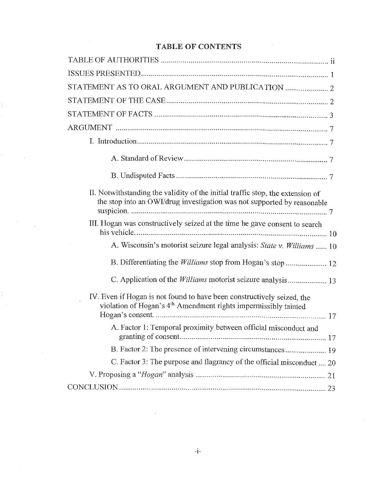## TABLE OF CONTENTS

| II. Notwithstanding the validity of the initial traffic stop, the extension of<br>the stop into an OWI/drug investigation was not supported by reasonable |
|-----------------------------------------------------------------------------------------------------------------------------------------------------------|
| III. Hogan was constructively seized at the time he gave consent to search                                                                                |
| A. Wisconsin's motorist seizure legal analysis: State v. Williams  10                                                                                     |
| B. Differentiating the <i>Williams</i> stop from Hogan's stop  12                                                                                         |
| C. Application of the <i>Williams</i> motorist seizure analysis 13                                                                                        |
| IV. Even if Hogan is not found to have been constructively seized, the<br>violation of Hogan's 4 <sup>th</sup> Amendment rights impermissibly tainted     |
| A. Factor 1: Temporal proximity between official misconduct and                                                                                           |
| B. Factor 2: The presence of intervening circumstances 19                                                                                                 |
| C. Factor 3: The purpose and flagrancy of the official misconduct  20                                                                                     |
|                                                                                                                                                           |
|                                                                                                                                                           |

 $\bar{a}$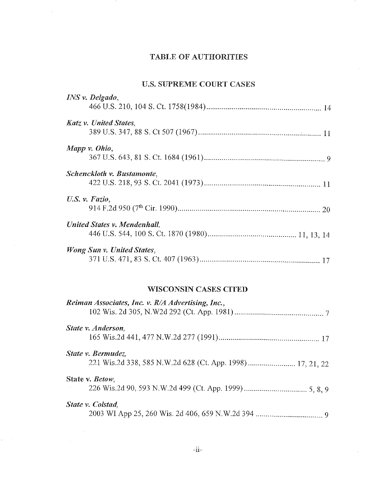## TABLE OF AUTHORITIES

## U.S. SUPREME COURT CASES

|                | INS v. Delgado,               |  |
|----------------|-------------------------------|--|
|                |                               |  |
|                | <b>Katz v. United States,</b> |  |
|                |                               |  |
|                | Mapp v. Ohio,                 |  |
|                |                               |  |
|                | Schenckloth v. Bustamonte,    |  |
|                |                               |  |
| U.S. v. Fazio. |                               |  |
|                |                               |  |
|                | United States v. Mendenhall.  |  |
|                |                               |  |
|                | Wong Sun v. United States,    |  |
|                |                               |  |

## WISCONSIN CASES CITED

| Reiman Associates, Inc. v. R/A Advertising, Inc., |
|---------------------------------------------------|
| State v. Anderson,                                |
| State v. Bermudez,                                |
| State v. <i>Betow</i> ,                           |
| State v. Colstad.                                 |

 $\mathcal{L}^{\pm}$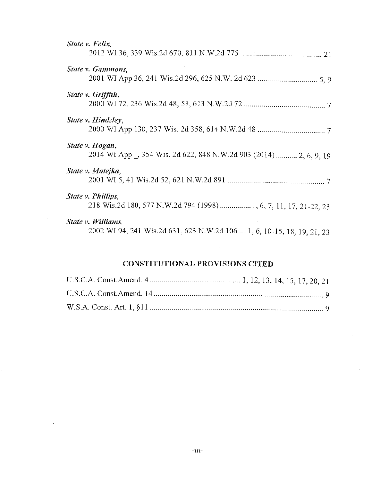| State v. Felix.                                                                               |
|-----------------------------------------------------------------------------------------------|
|                                                                                               |
| State v. Gammons,                                                                             |
| <i>State v. Griffith,</i>                                                                     |
| State v. Hindsley,                                                                            |
| State v. Hogan,<br>2014 WI App , 354 Wis. 2d 622, 848 N.W.2d 903 (2014) 2, 6, 9, 19           |
| State v. Matejka,                                                                             |
| <i>State v. Phillips,</i><br>218 Wis.2d 180, 577 N.W.2d 794 (1998) 1, 6, 7, 11, 17, 21-22, 23 |
| State v. Williams,<br>2002 WI 94, 241 Wis.2d 631, 623 N.W.2d 106  1, 6, 10-15, 18, 19, 21, 23 |

## CONSTITUTIONAL PROVISIONS CITED

 $\sim$ 

 $\bar{z}$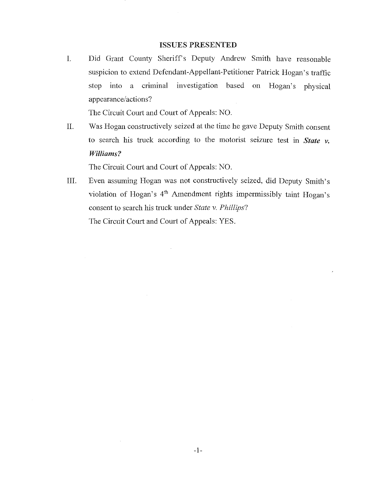#### ISSUES PRESENTED

I. Did Grant County Sheriff's Deputy Andrew Smith have reasonable suspicion to extend Defendant-Appellant-Petitioner Patrick Hogan's traffic stop into a criminal investigation based on Hogan's physical appearance/actions?

The Circuit Court and Court of Appeals: NO.

H. Was Hogan constructively seized at the time he gave Deputy Smith consent to search his truck according to the motorist seizure test in *State v. Williams?* 

The Circuit Court and Court of Appeals: NO.

**III.** Even assuming Hogan was not constructively seized, did Deputy Smith's violation of Hogan's 4<sup>th</sup> Amendment rights impermissibly taint Hogan's consent to search his truck under *State v. Phillips*? The Circuit Court and Court of Appeals: YES.

 $\bar{z}$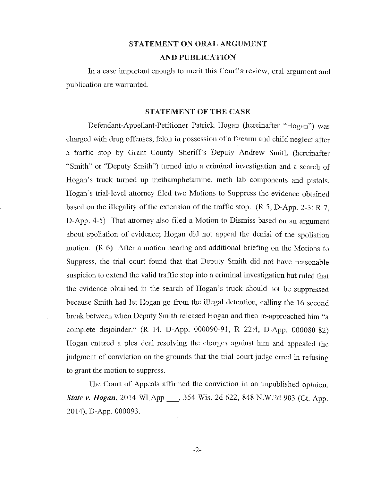## STATEMENT ON ORAL ARGUMENT AND PUBLICATION

In a case important enough to merit this Court's review, oral argument and publication are warranted.

#### STATEMENT OF THE CASE

Defendant-Appellant-Petitioner Patrick Hogan (hereinafter "Hogan") was charged with drug offenses, felon in possession of a firearm and child neglect after a traffic stop by Grant County Sheriffs Deputy Andrew Smith (hereinafter "Smith" or "Deputy Smith") turned into a criminal investigation and a search of Hogan's truck turned up methamphetamine, meth lab components and pistols. Hogan'S trial-level attorney filed two Motions to Suppress the evidence obtained based on the illegality of the extension of the traffic stop. (R 5, D-App. 2-3; R 7, D-App. 4-5) That attorney also filed a Motion to Dismiss based on an argument about spoliation of evidence; Hogan did not appeal the denial of the spoliation motion. (R 6) After a motion hearing and additional briefing on the Motions to Suppress, the trial court found fhat that Deputy Smith did not have reasonable suspicion to extend the valid traffic stop into a criminal investigation but ruled that the evidence obtained in the search of Hogan's truck should not be suppressed because Smith had let Hogan go from the illegal detention, calling the 16 second break between when Deputy Smith released Hogan and then re-approached him "a complete disjoinder." (R 14, D-App. 000090-91, R 22:4, D-App. 000080-82) Hogan entered a plea deal resolving the charges against him and appealed the judgment of conviction on the grounds that the trial court judge erred in refusing to grant the motion to suppress.

The Court of Appeals affinned the conviction in an unpublished opinion. *State v. Hogan,* 2014 WI App \_,354 Wis. 2d 622, 848 N.W.2d 903 (Ct. App. 2014), D-App. 000093.

-2-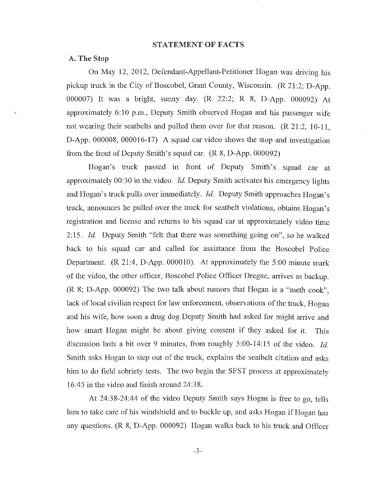#### STATEMENT OF FACTS

#### A. The Stop

On May 12, 2012, Defendant-Appellant-Petitioner Hogan was driving his pickup truck in the City of Boscobel, Grant County, Wisconsin. (R 21 :2; *D-App.*  000007) It was a bright, sunny day. (R 22:2; R 8, D-App. 000092) At approximately 6:10 p.m., Deputy Smith observed Hogan and his passenger wife not wearing their seatbelts and pulled them over for that reason. (R 21:2, 10-11, D-App. 000008, 000016-17) A squad car video shows the stop and investigation from the front of Deputy Smith's squad car. (R 8, D-App. 000092)

Hogan's truck passed in front of Deputy Smith's squad car at approximately 00:30 in the video. *Id.* Deputy Smith activates his emergency lights and Hogan's truck pulls over immediately. *Id.* Deputy Smith approaches Hogan's truck, announces he pulled over the truck for seatbelt violations, obtains Hogan's registration and license and returns to his squad car at approximately video time *2:15. Id.* Deputy Smith "felt that there was something going on", so he walked back to his squad car and called for assistance from the Boscobel Police Department. (R 21:4, D-App. 000010). At approximately the 5:00 minute mark of the video, the other officer, Boscobel Police Officer Dregne, arrives as backup. (R 8; D-App. 000092) The two talk about rumors that Hogan is a "meth cook", lack of local civilian respect for law enforcement, observations of the truck, Hogan and his wife, how soon a drug dog Deputy Smith had asked for might arrive and how smart Hogan might be about giving consent if they asked for it. This discussion lasts a bit over 9 minutes, from roughly 5:00-14:15 of the video. *Id.*  Smith asks Hogan to step out of the truck, explains the seatbelt citation and asks him to do field sobriety tests. The two begin the SFST process at approximately 16:45 in the video and finish around 24:38.

At 24:38-24:44 of the video Deputy Smith says Hogan is free to go, tells him to take care of his windshield and to buckle up, and asks Hogan if Hogan has any questions. (R 8, D-App. 000092) Hogan walks back to his truck and Officer

-3-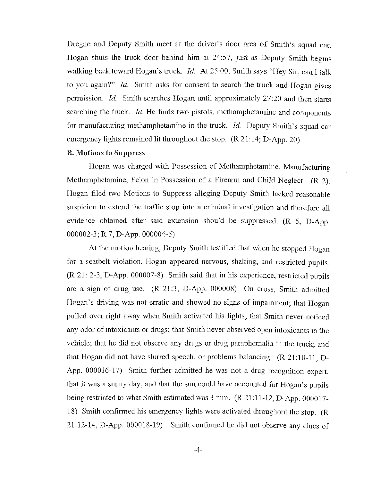Dregne and Deputy Smith meet at the driver's door area of Smith's squad car. Hogan shuts the truck door behind him at 24:57, just as Deputy Smith begins walking back toward Hogan's truck. *Id.* At 25:00, Smith says "Hey Sir, can I talk to you again?" *Id.* Smith asks for consent to search the truck and Hogan gives permission. *Id.* Smith searches Hogan until approximately 27:20 and then starts searching the truck. *Id.* He finds two pistols, methamphetamine and components for manufacturing methamphetamine in the truck. *Id.* Deputy Smith's squad car emergency lights remained lit throughout the stop. (R 21:14; D-App. 20)

#### B. Motions to Suppress

Hogan was charged with Possession of Methamphetamine, Manufacturing Methamphetamine, Felon in Possession of a Firearm and Child Neglect. (R 2). Hogan filed two Motions to Suppress alleging Deputy Smith lacked reasonable suspicion to extend the traffic stop into a criminal investigation and therefore all evidence obtained after said extension should be suppressed. (R 5, D-App. 000002-3; R 7, D-App. 000004-5)

At the motion hearing, Deputy Smith testified that when he stopped Hogan for a seatbelt violation, Hogan appeared nervous, shaking, and restricted pupils. (R 21: 2-3, D-App. 000007-8) Smith said that in his experience, restricted pupils are a sign of drug use. (R 21:3, D-App. 000008) On cross, Smith admitted Hogan's driving was not erratic and showed no signs of impairment; that Hogan pulled over right away when Smith activated his lights; that Smith never noticed any odor of intoxicants or drugs; that Smith never observed open intoxicants in the vehicle; that he did not observe any drugs or drug paraphernalia in the truck; and that Hogan did not have slurred speech, or problems balancing.  $(R\ 21:10-11, D-$ App. 000016-17) Smith further admitted he was not a drug recognition expert, that it was a sunny day, and that the sun could have accounted for Hogan's pupils being restricted to what Smith estimated was 3 mm. (R 21:11-12, D-App. 000017- 18) Smith confirmed his emergency lights were activated throughout the stop. (R 21:12-14, D-App. 000018-19) Smith confirmed he did not observe any clues of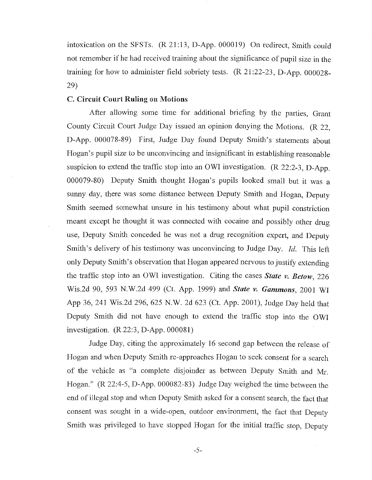intoxication on the SFSTs. (R 21:13, D-App. 000019) On redirect, Smith could not remember if he had received training about the significance of pupil size in the training for how to administer field sobriety tests. (R 21:22-23, D-App. 000028- 29)

### C. Circuit Court Ruling on Motions

After allowing some time for additional briefing by the parties, Grant County Circuit Court Judge Day issued an opinion denying the Motions. (R 22, D-App. 000078-89) First, Judge Day found Deputy Smith's statements about Hogan's pupil size to be unconvincing and insignificant in establishing reasonable suspicion to extend the traffic stop into an OWI investigation. (R 22:2-3, D-App. 000079-80) Deputy Smith thought Hogan's pupils looked small but it was a sunny day, there was some distance between Deputy Smith and Hogan, Deputy Smith seemed somewhat unsure in his testimony about what pupil constriction meant except he thought it was connected with cocaine and possibly other drug use, Deputy Smith conceded he was not a drug recognition expert, and Deputy Smith's delivery of his testimony was unconvincing to Judge Day. *Id.* This left only Deputy Smith's observation that Hogan appeared nervous to justify extending the traffic stop into an OWl investigation. Citing the cases *State v. Betow, 226*  Wis.2d 90, 593 N.W.2d 499 (Ct. App. 1999) and *State v. Gammons,* 2001 Wl App 36, 241 Wis.2d 296,625 N.W. 2d 623 (Ct. App. 2001), Judge Day held that Deputy Smith did not have enough to extend the traffic stop into the OWl investigation. (R 22:3, D-App. 000081)

Judge Day, citing the approximately 16 second gap between the release of Hogan and when Deputy Smith re-approaches Hogan to seek consent for a search of the vehicle as "a complete disjoinder as between Deputy Smith and Mr. Hogan." (R 22:4-5, D-App. 000082-83) Judge Day weighed the time between the end of illegal stop and when Deputy Smith asked for a consent search, the fact that consent was sought in a wide-open, outdoor environment, the fact that Deputy Smith was privileged to have stopped Hogan for the initial traffic stop, Deputy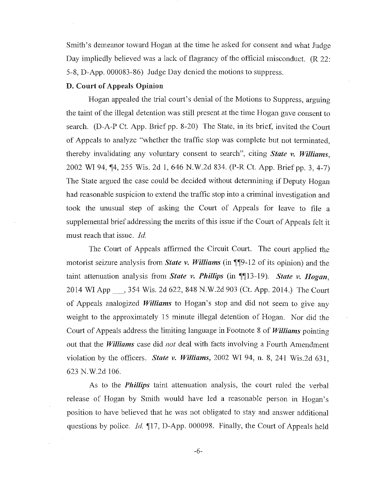Smith's demeanor toward Hogan at the time he asked for consent and what Judge Day impliedly believed was a lack of flagrancy of the official misconduct. (R 22: 5-8, D-App. 000083-86) Judge Day denied the motions to suppress.

### D. Court of Appeals Opinion

Hogan appealed the trial court's denial of the Motions to Suppress, arguing the taint of the illegal detention was still present at the time Hogan gave consent to search. (D-A-P Ct. App. Brief pp. 8-20) The State, in its brief, invited the Court of Appeals to analyze "whether the traffic stop was complete but not tenninated, thereby invalidating any voluntary consent to search", citing *State v. Williams,*  2002 WI 94, 14, 255 Wis. 2d 1, 646 N.W.2d 834. (P-R Ct. App. Brief pp. 3, 4-7) The State argued the case could be decided without detennining if Deputy Hogan had reasonable suspicion to extend the traffic stop into a criminal investigation and took the unusual step of asking the Court of Appeals for leave to file a supplemental brief addressing the merits of this issue if the Court of Appeals felt it must reach that issue. *Id.* 

The Court of Appeals affinned the Circuit Court. The court applied the motorist seizure analysis from *State v. Williams* (in ¶¶9-12 of its opinion) and the taint attenuation analysis from *State v. Phillips* (in \[\inetastable 13). *State v. Hogan,* 2014 WI App \_, 354 Wis. 2d 622,848 N.W.2d 903 (Ct. App. 2014.) The Court of Appeals analogized *Williams* to Hogan's stop and did not seem to give any weight to the approximately 15 minute illegal detention of Hogan. Nor did the Court of Appeals address the limiting language in Footnote 8 of *Williams* pointing out that the *Williams* case did *not* deal with facts involving a Fourth Amendment violation by the officers. *State v. Williams,* 2002 WI 94, n. 8, 241 Wis.2d 631, 623 N.W.2d 106.

As to the *Phillips* taint attenuation analysis, the court ruled the verbal release of Hogan by Smith would have led a reasonable person in Hogan's position to have believed that he was not obligated to stay and answer additional questions by police. *Id.* 17, D-App. 000098. Finally, the Court of Appeals held

-6-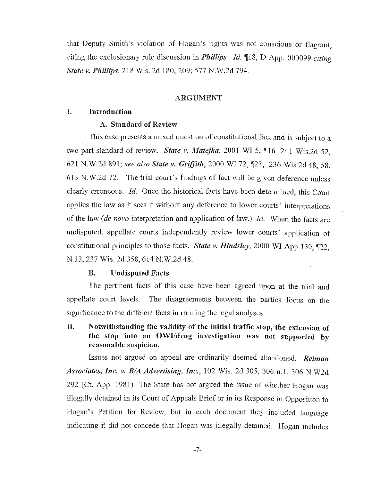that Deputy Smith's violation of Hogan's rights was not conscious or flagrant, citing the exclusionary rule discussion in *Phillips. Id* ~18, D-App. 000099 *citing State v. Phillips,* 218 Wis. 2d 180,209; 577 N.W.2d 794.

#### ARGUMENT

### I. Introduction

#### A. Standard of Review

This case presents a mixed question of constitutional fact and is subject to a two-part standard of review. *State v. Matejka*, 2001 WI 5, ¶16, 241 Wis.2d 52, 621 N.W.2d 891; see also State v. Griffith, 2000 WI 72, 123, 236 Wis.2d 48, 58, 613 N.W.2d 72. The trial court's findings of fact will be given deference unless clearly erroneous. Id. Once the historical facts have been determined, this Court applies the law as it sees it without any deference to lower courts' interpretations of the law *(de novo* interpretation and application of law.) *Id.* When the facts are undisputed, appellate courts independently review lower courts' application of constitutional principles to those facts. *State v. Hindsley*, 2000 WI App 130, 122, N.13, 237 Wis. 2d 358, 614 N.W.2d 48.

#### B. Undisputed Facts

The pertinent facts of this case have been agreed upon at the trial and appellate court levels. The disagreements between the parties focus on the significance to the different facts in running the legal analyses.

## n. Notwithstanding the validity of the initial traffic stop, the extension of the stop into an OWI/drug investigation was not supported by reasonable suspicion.

Issues not argued on appeal are ordinarily deemed abandoned. *Reiman Associates, Inc. v. RIA Advertising, Inc.,* 102 Wis. 2d 305, 306 n.l, 306 N.W2d 292 (Ct. App. 1981) The State has not argued the issue of whether Hogan was illegally detained in its Court of Appeals Brief or in its Response in Opposition to Hogan's Petition for Review, but in each document they included language indicating it did not concede that Hogan was illegally detained. Hogan includes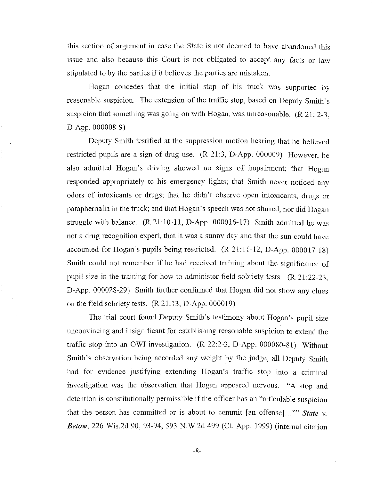this section of argument in case the State is not deemed to have abandoned this issue and also because this Court is not obligated to accept any facts or law stipulated to by the parties if it believes the parties are mistaken.

Hogan concedes that the initial stop of his truck was supported by reasonable suspicion. The extension of the traffic stop, based on Deputy Smith's suspicion that something was going on with Hogan, was unreasonable.  $(R 21: 2-3, 1)$ D-App. 000008-9)

Deputy Smith testified at the suppression motion hearing that he believed restricted pupils are a sign of drug use. (R 21:3, D-App. 000009) However, he also admitted Hogan's driving showed no signs of impairment; that Hogan responded appropriately to his emergency lights; that Smith never noticed any odors of intoxicants or drugs; that he didn't observe open intoxicants, drugs or paraphernalia in the truck; and that Hogan's speech was not slurred, nor did Hogan struggle with balance. (R 21:10-11, D-App. 000016-17) Smith admitted he was not a drug recognition expert, that it was a sunny day and that the sun could have accounted for Hogan's pupils being restricted.  $(R \ 21:11-12, D\$ -App. 000017-18) Smith could not remember if he had received training about the significance of pupil size **in** the training for how to administer field sobriety tests. (R 21:22-23, D-App. 000028-29) Smith further confinned that Hogan did not show any clues on the field sobriety tests. (R 21:13, D-App. 000019)

The trial court found Deputy Smith's testimony about Hogan's pupil size unconvincing and insignificant for establishing reasonable suspicion to extend the traffic stop into an OWl investigation. (R 22:2-3, D-App. 000080-81) Without Smith's observation being accorded any weight by the judge, all Deputy Smith had for evidence justifying extending Hogan's traffic stop into a criminal investigation was the observation that Hogan appeared nervous. "A stop and detention is constitutionally permissible if the officer has an "articulable suspicion that the person has committed or is about to commit [an offense]..."" State v. *Betow*, 226 Wis.2d 90, 93-94, 593 N.W.2d 499 (Ct. App. 1999) (internal citation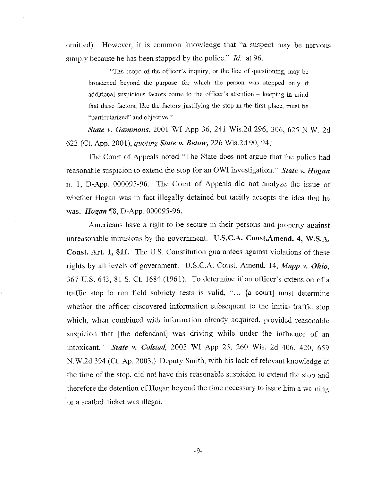omitted). However, it is common knowledge that "a suspect may be nervous simply because he has been stopped by the police." *Id.* at 96.

"The scope of the officer's inquiry, or the line of questioning, may be broadened beyond the purpose for which the person was stopped only if additional suspicious factors come to the officer's attention – keeping in mind that these factors, like the factors justifYing the stop in the first place, must be **"particularized" and objective."** 

*State v. Gammons,* 2001 WI App 36, 241 Wis.2d 296, 306, 625 N.W. 2d 623 (Ct. App. 200 I), *quoting State v. BelOW,* 226 Wis.2d 90, 94.

The Court of Appeals noted "The State does not argue that the police had reasonable suspicion to extend the stop for an OWl investigation." *State v. Hogan*  n. 1, D-App. 000095-96. The Court of Appeals did not analyze the issue of whether Hogan was in fact illegally detained but tacitly accepts the idea that he was. *Hogan* ¶8, D-App. 000095-96.

Americans have a right to be secure in their persons and property against unreasonable intrusions by the government.  $U.S.C.A.$  Const.Amend. 4, W.S.A. Const. Art. 1, §11. The U.S. Constitution guarantees against violations of these rights by all levels of government. U.S.C.A. Const. Amend. 14, *Mapp v. Ohio,*  367 U.S. 643, 81 S. Ct. 1684 (1961). To detennine if an officer's extension of a traffic stop to run field sobriety tests is valid, "... [a court] must determine whether the officer discovered information subsequent to the initial traffic stop which, when combined with information already acquired, provided reasonable suspicion that [the defendant] was driving while under the influence of an intoxicant." *State v. Cotstad,* 2003 WI App 25, 260 Wis. 2d 406, 420, 659 N.W.2d 394 (Ct. Ap. 2003.) Deputy Smith, with his lack of relevant knowledge at the time of the stop, did not have this reasonable suspicion to extend the stop and therefore the detention of Hogan beyond the time necessary to issue him a warning . or a seatbelt ticket was illegal.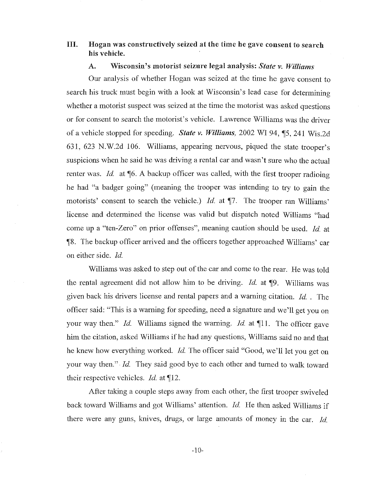## III. Hogan was constructively seized at the time he gave consent to search his vehicle.

## A. Wisconsin's motorist seizure legal analysis: *State v. Williams*

Our analysis of whether Hogan was seized at the time he gave consent to search his truck must begin with a look at Wisconsin's lead case for determining whether a motorist suspect was seized at the time the motorist was asked questions or for consent to search the motorist's vehicle. Lawrence Williams was the driver of a vehicle stopped for speeding. *State v. Williams*, 2002 WI 94, 15, 241 Wis.2d 631, 623 N.W.2d 106. Williams, appearing nervous, piqued the state trooper's suspicions when he said he was driving a rental car and wasn't sure who the actual renter was. *Id.* at 16. A backup officer was called, with the first trooper radioing he had "a badger going" (meaning the trooper was intending to try to gain the motorists' consent to search the vehicle.) *Id.* at  $\P$ 7. The trooper ran Williams' license and determined the license was valid but dispatch noted Williams "had come up a "ten-Zero" on prior offenses", meaning caution should be used. *ld.* at 118. The backup officer arrived and the officers together approached Williams' car on either side. *ld.* 

Williams was. asked to step out of the car and come to the rear. He was told the rental agreement did not allow him to be driving. *Id.* at **[9.** Williams was given back his drivers license and rental papers and a warning citation. *ld.* . The officer said: "This is a warning for speeding, need a signature and we'll get you on your way then." *Id.* Williams signed the warning. *Id.* at 11. The officer gave him the citation, asked Williams if he had any questions, Williams said no and that he knew how everything worked. *ld.* The officer said "Good, we'll let you get on your way then."· *Id.* They said good bye to each other and turned to walk toward their respective vehicles. *Id.* at 12.

After taking a couple steps away from each other, the first trooper swiveled back toward Williams and got Williams' attention. *Id.* He then asked Williams if there were any guns, knives, drugs, or large amounts of money in the car. *ld.* 

-10-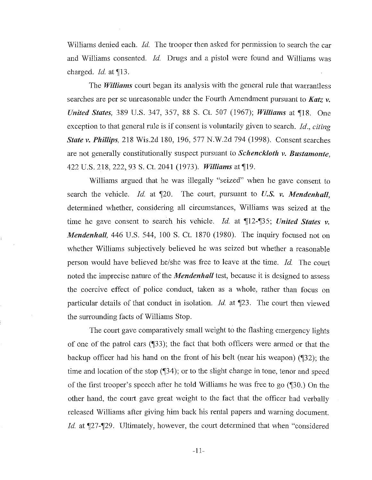Williams denied each. *Id.* The trooper then asked for permission to search the car and Williams consented. *Id.* Drugs and a pistol were found and Williams was charged. *Id.* at ¶13.

The *Williams* court began its analysis with the general rule that warrantless searches are per se unreasonable under the Fourth Amendment pursuant to *Katz v. United States, 389 U.S. 347, 357, 88 S. Ct. 507 (1967); <i>Williams at* 18. One exception to that general rule is if consent is voluntarily given to search. *Id., citing State v. Phillips,* 218 Wis.2d 180, 196,577 N.W.2d 794 (1998). Consent searches are not generally constitutionally suspect pursuant to *Schenckloth v. Bustamonte,*  422 U.S. 218, 222, 93 S. Ct. 2041 (1973). *Williams* at ¶19.

Williams argued that he was illegally "seized" when he gave consent to search the vehicle. *Id.* at  $\P$ 20. The court, pursuant to *U.S. v. Mendenhall*, determined whether, considering all circumstances, Williams was seized at the time he gave consent to search his vehicle. *Id.* at  $\P$ 12- $\P$ 35; *United States v. Mendenhall,* 446 U.S. 544, 100 S. Ct. 1870 (1980). The inquiry focused not on whether Williams subjectively believed he was seized but whether a reasonable person would have believed he/she was free to leave at the time. *Id.* The court noted the imprecise nature of the *Mendenhall* test, because it is designed to assess the coercive effect of police conduct, taken as a whole, rather than focus on particular details of that conduct in isolation. *Id.* at *[23. The court then viewed* the surrounding facts of Williams Stop.

The court gave comparatively small weight to the flashing emergency lights of one of the patrol cars (133); the fact that both officers were armed or that the backup officer had his hand on the front of his belt (near his weapon) (132); the time and location of the stop (134); or to the slight change in tone, tenor and speed of the first trooper's speech after he told Williams he was free to go  $(\sqrt{\phantom{a}}30.)$  On the other hand, the court gave great weight to the fact that the officer had verbally released Williams after giving him back his rental papers and warning document. *Id.* at ¶27-¶29. Ultimately, however, the court determined that when "considered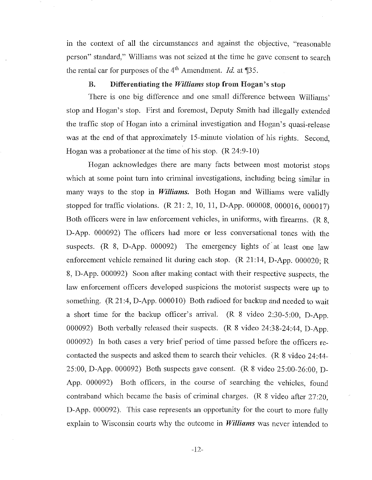m the context of all the circumstances and against the objective, "reasonable person" standard," Williams was not seized at the time he gave consent to search the rental car for purposes of the 4<sup>th</sup> Amendment. *Id.* at ¶35.

### B. Differentiating the *Williams* stop from Hogan's stop

There is one big difference and one small difference between Williams' stop and Hogan's stop. First and foremost, Deputy Smith had illegally extended the traffic stop of Hogan into a criminal investigation and Hogan's quasi-release was at the end of that approximately IS-minute violation of his rights. Second, Hogan was a probationer at the time of his stop. (R 24:9-10)

Hogan acknowledges there are many facts between most motorist stops which at some point turn into criminal investigations, including being similar in many ways to the stop in *Williams.* Both Hogan and Williams were validly stopped for traffic violations. (R 21: 2, 10, 11, D-App. 000008, 000016, 000017) Both officers were in law enforcement vehicles, in uniforms, with firearms. (R 8, D-App. 000092) The officers had more or less conversational tones with the suspects. (R 8, D-App. 000092) The emergency lights of at least one law enforcement vehicle remained lit during each stop. (R 21:14, D-App. 000020; R 8, D-App. 000092) Soon after making contact with their respective suspects, the law enforcement officers developed suspicions the motorist suspects were up to something. (R 21:4, D-App. 000010) Both radioed for backup and needed to wait a short time for the backup officer's arrival. (R 8 video 2:30-5:00, D-App. 000092) Both verbally released their suspects. (R 8 video 24:38-24:44, D-App. 000092) In both cases a very brief period of time passed before the officers recontacted the suspects and asked them to search their vehicles. (R 8 video 24:44- 25:00, D-App. 000092) Both suspects gave consent. (R 8 video 25:00-26:00, D-App. 000092) Both officers, in the course of searching the vehicles, found contraband which became the basis of criminal charges. (R 8 video after 27:20, D-App. 000092). This case represents an opportunity for the court to more fully explain to Wisconsin courts why the outcome in *Williams* was never intended to

-12-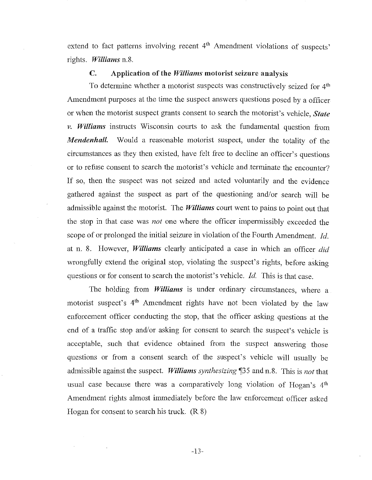extend to fact patterns involving recent  $4<sup>th</sup>$  Amendment violations of suspects' rights. *Williams* n.8.

#### e. Application of the *Williams* motorist seizure analysis

To determine whether a motorist suspects was constructively seized for 4<sup>th</sup> Amendment purposes at the time the suspect answers questions posed by a officer or when the motorist suspect grants consent to search the motorist's vehicle, *State v. Williams* instructs Wisconsin courts to ask the fundamental question from *Mendenhall.* Would a reasonable motorist suspect, under the totality of the circumstances as they then existed, have felt free to decline an officer's questions or to refuse consent to search the motorist's vehicle and terminate the encounter? **If** so, then the suspect was not seized and acted voluntarily and the evidence gathered against the suspect as part of the questioning and/or search will be admissible against the motorist. The *Williams* court went to pains to point out that the stop in that case was *not* one where the officer impermissibly exceeded the scope of or prolonged the initial seizure in violation of the Fourth Amendment. *Id.*  at n. 8. However, *Williams* clearly anticipated a case in which an officer *did*  wrongfully extend the original stop, violating the suspect's rights, before asking questions or for consent to search the motorist's vehicle. *Id.* This is that case.

The holding from *Williams* is under ordinary circumstances, where a motorist suspect's 4<sup>th</sup> Amendment rights have not been violated by the law enforcement officer conducting the stop, that the officer asking questions at the end of a traffic stop and/or asking for consent to search the suspect's vehicle is acceptable, such that evidence obtained from the suspect answering those questions or from a consent search of the suspect's vehicle will usually be admissible against the suspect. *Williams synthesizing* '\135 and n.8. This is *not* that usual case because there was a comparatively long violation of Hogan's 4<sup>th</sup> Amendment rights almost immediately before the law enforcement officer asked Hogan for consent to search his truck. (R 8)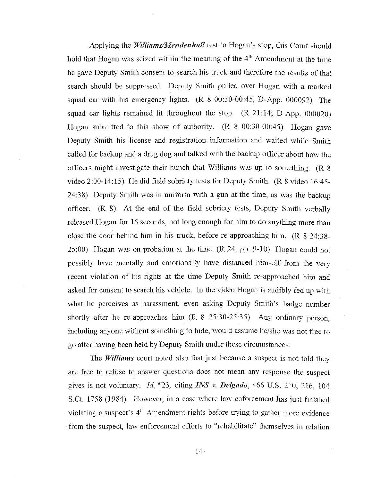Applying the *WilliamslMendenhali* test to Hogan's stop, this Court should hold that Hogan was seized within the meaning of the  $4<sup>th</sup>$  Amendment at the time he gave Deputy Smith consent to search his truck and therefore the results of that search should be suppressed. Deputy Smith pulled over Hogan with a marked squad car with his emergency lights. (R 8 00:30-00:45, D-App. 000092) The squad car lights remained lit throughout the stop.  $(R\ 21:14; D-App. 000020)$ Hogan submitted to this show of authority. (R 8 00:30-00:45) Hogan gave Deputy Smith his license and registration information and waited while Smith called for backup and a drug dog and talked with the backup officer about how the officers might investigate their hunch that Williams was up to something. (R 8 video 2:00-14:15) He did field sobriety tests for Deputy Smith. (R 8 video 16:45- 24:38) Deputy Smith was in unifonn with a gun at the time, as was the backup officer. (R 8) At the end of the field sobriety tests, Deputy Smith verbally released Hogan for 16 seconds, not long enough for him to do anything more than close the door behind him in his truck, before re-approaching him. (R 8 24:38- 25:00) Hogan was on probation at the time. (R 24, pp. 9-10) Hogan could not possibly have mentally and emotionally have distanced himself from the very recent violation of his rights at the time Deputy Smith re-approached him and asked for consent to search his vehicle. In the video Hogan is audibly fed up with what he perceives as harassment, even asking Deputy Smith's badge number shortly after he re-approaches him  $(R \ 8 \ 25:30-25:35)$  Any ordinary person, including anyone without something to hide, would assume he/she was not free to go after having been held by Deputy Smith under these circumstances.

The *Williams* court noted also that just because a suspect is not told they are free to refuse to answer questions does not mean any response the suspect gives is not voluntary. Jd. '[23, citing *INS v. Delgado,* 466 U.S. 210, 216, 104 S.Ct. 1758 (1984). However, in a case where law enforcement has just finished violating a suspect's  $4<sup>th</sup>$  Amendment rights before trying to gather more evidence from the suspect, law enforcement efforts to "rehabilitate" themselves in relation

-14-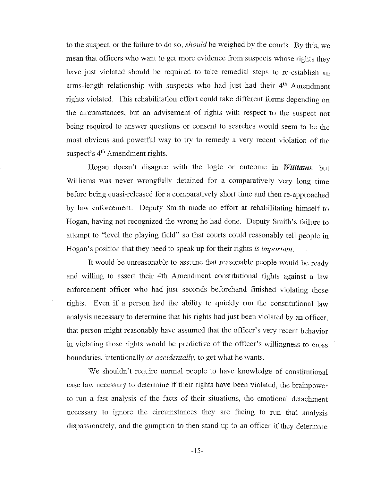to the suspect, or the failure to do so, *should* be weighed by the courts. By this, we mean that officers who want to get more evidence from suspects whose rights they have just violated should be required to take remedial steps to re-establish an arms-length relationship with suspects who had just had their  $4<sup>th</sup>$  Amendment rights violated. This rehabilitation effort could take different fonns depending on the circumstances, but an advisement of rights with respect to the suspect not being required to answer questions or consent to searches would seem to be the most obvious and powerful way to try to remedy a very recent violation of the suspect's 4<sup>th</sup> Amendment rights.

Hogan doesn't disagree with the logic or outcome in *Williams,* but Williams was never wrongfully detained for a comparatively very long time before being quasi-released for a comparatively short time and then re-approached by law enforcement. Deputy Smith made no effort at rehabilitating himself to Hogan, having not recognized the wrong he had done. Deputy Smith's failure to attempt to "level the playing field" so that courts could reasonably tell people in Hogan's position that they need to speak up for their rights *is important.* 

It would be unreasonable to assume that reasonable people would be ready and willing to assert their 4th Amendment constitutional rights against a law enforcement officer who had just seconds beforehand finished violating those rights. Even if a person had the ability to quickly run the constitutional law analysis necessary to determine that his rights had just been violated by an officer, that person might reasonably have assumed that the officer's very recent behavior in violating those rights would be predictive of the officer's willingness to cross boundaries, intentionally *or accidentally,* to get what he wants.

We shouldn't require normal people to have knowledge of constitutional case law necessary to detennine if their rights have been violated, the brainpower to run a fast analysis of the facts of their situations, the emotional detachment necessary to ignore the circumstances they are facing to run that analysis dispassionately, and the gumption to then stand up to an officer if they determine

-15-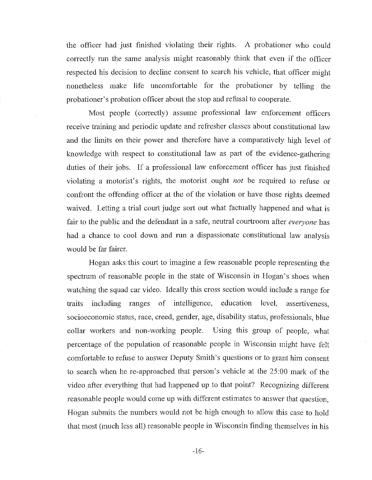the officer had just finished violating their rights. A probationer who could correctly run the same analysis might reasonably think that even if the officer respected his decision to decline consent to search his vehicle, that officer might nonetheless make life uncomfortable for the probationer by telling the probationer's probation officer about the stop and refusal to cooperate.

Most people (correctly) assume professional law enforcement officers receive training and periodic update and refresher classes about constitutional law and the limits on their power and therefore have a comparatively high level of knowledge with respect to constitutional law as part of the evidence-gathering duties of their jobs. **If** a professional law enforcement officer has just finished violating a motorist's rights, the motorist ought *not* be required to refuse or confront the offending officer at the of the violation or have those rights deemed waived. Letting a trial court judge sort out what factually happened and what is fair to the public and the defendant in a safe, neutral courtroom after *everyone* has had a chance to cool down and run a dispassionate constitutional law analysis would be far fairer.

Hogan asks this court to imagine a few reasonable people representing the spectrum of reasonable people in the state of Wisconsin in Hogan's shoes when watching the squad car video. Ideally this cross section would include a range for traits inclnding ranges of intelligence, edncation level, assertiveness, socioeconomic status, race, creed, gender, age, disability status, professionals, blue collar workers and non-working people. Using this group of people, what percentage of the population of reasonable people in Wisconsin might have felt comfortable to refuse to answer Deputy Smith's questions or to grant him consent to search when he re-approached that person's vehicle at the 25:00 mark of the video after everything that had happened up to that point? Recognizing different reasonable people would come up with different estimates to answer that question, Hogan submits the numbers would not be high enough to allow this case to hold that most (much less all) reasonable people in Wisconsin finding themselves in his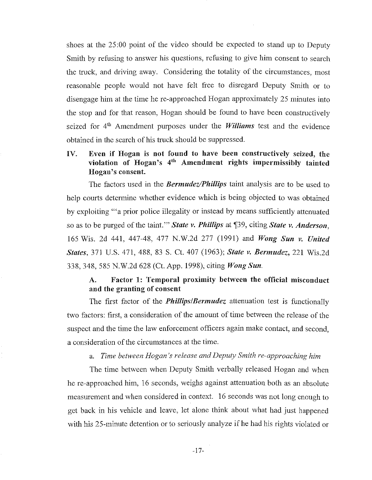shoes at the 25:00 point of the video should be expected to stand up to Deputy Smith by refusing to answer his questions, refusing to give him consent to search the truck, and driving away. Considering the totality of the circumstances, most reasonable people would not have felt free to disregard Deputy Smith or to disengage him at the time he re-approached Hogan approximately 25 minutes into the stop and for that reason, Hogan should be found to have been constructively seized for 4<sup>th</sup> Amendment purposes under the *Williams* test and the evidence obtained in the search of his truck should be suppressed.

## IV. Even if Hogan is not found to have been constructively seized, the violation of Hogan's 4th Amendment rights impermissibly tainted Hogan's consent.

The factors used in the *Bermudez/Phillips* taint analysis are to be used to help courts determine whether evidence which is being objected to was obtained by exploiting "'a prior police illegality or instead by means sufficiently attenuated so as to be purged of the taint." *State v. Phillips* at \$39, citing *State v. Anderson*, 165 Wis. 2d 441, 447-48, 477 N.W.2d 277 (1991) and *Wong Sun v. United States,* 371 U.S. 471, 488, 83 S. ct. 407 (1963); *State v. Bermudez,* 221 Wis.2d 338,348,585 N.W.2d 628 (Ct. App. 1998), citing *Wong Sun.* 

## A. Factor 1: Temporal proximity between the official misconduct and the granting of consent

The first factor of the *Phillips/Bermudez* attenuation test is functionally two factors: first, a consideration of the amount of time between the release of the suspect and the time the law enforcement officers again make contact, and second, a consideration of the circumstances at the time.

### a. *Time between Hogan's release and Deputy Smith re-approaching him*

The time between when Deputy Smith verbally released Hogan and when he re-approached him, 16 seconds, weighs against attenuation both as an absolute measurement and when considered in context. 16 seconds was not long enough to get back in his vehicle and leave, let alone think about what had just happened with his 25-minute detention or to seriously analyze if he had his rights violated or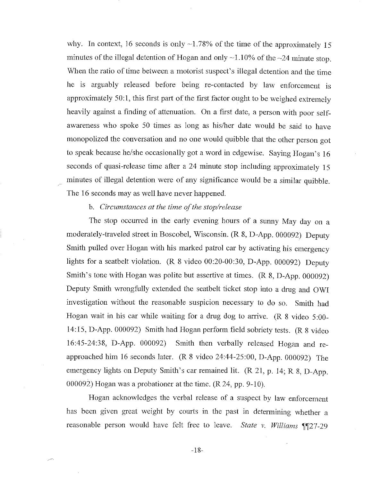why. In context, 16 seconds is only  $\sim$ 1.78% of the time of the approximately 15 minutes of the illegal detention of Hogan and only  $\sim$ 1.10% of the  $\sim$ 24 minute stop. When the ratio of time between a motorist suspect's illegal detention and the time he is arguably released before being re-contacted by law enforcement is approximately 50:1, this first part of the first factor ought to be weighed extremely heavily against a finding of attenuation. On a first date, a person with poor selfawareness who spoke 50 times as long as his/her date would be said to have monopolized the conversation and no one would quibble that the other person got to speak because he/she occasionally got a word in edgewise. Saying Hogan's 16 seconds of quasi-release time after a 24 minute stop including approximately 15 minutes of illegal detention were of any significance would be a similar quibble. The 16 seconds may as well have never happened.

## b. *Circumstances at the time a/the stop/release*

The stop occurred in the early evening hours of a sunny May day on a moderately-traveled street in Boscobel, Wisconsin. (R 8, D-App. 000092) Deputy Smith pulled over Hogan with his marked patrol car by activating his emergency lights for a seatbelt violation. (R 8 video 00:20-00:30, D-App. 000092) Deputy Smith's tone with Hogan was polite but assertive at times. (R 8, D-App. 000092) Deputy Smith wrongfully extended the seatbeIt ticket stop into a drug and OWI investigation without the reasonable suspicion necessary to do so. Smith had Hogan wait in his car while waiting for a drug dog to arrive. (R 8 vidco 5:00- 14:15, D-App. 000092) Smith had Hogan perform field sobriety tests. (R 8 video 16:45-24:38, D-App. 000092) Smith then verbally released Hogan and reapproached him 16 seconds later. (R 8 video 24:44-25:00, D-App. 000092) The emergency lights on Deputy Smith's car remained lit. (R 21, p. 14; R 8, D-App. 000092) Hogan was a probationer at the time. (R 24, pp. 9-10).

Hogan acknowledges the verbal release of a suspect by law enforcement has been given great weight by courts in the past in determining whether a reasonable person would have felt free to leave. *State v. Williams* **1127-29**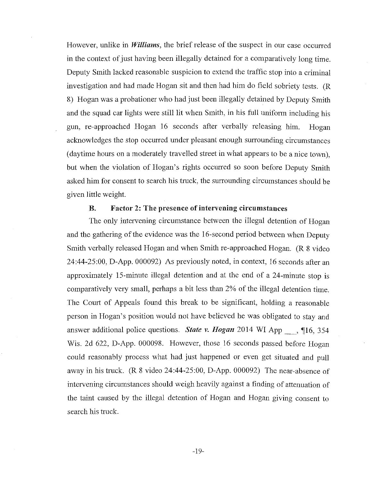However, unlike in *Williams,* the brief release of the suspect in our case occurred in the context of just having been illegally detained for a comparatively long time. Deputy Smith lacked reasonable suspicion to extend the traffic stop into a criminal investigation and had made Hogan sit and then had him do field sobriety tests. (R 8) Hogan was a probationer who had just been illegally detained by Deputy Smith and the squad car lights were still lit when Smith, in his full unifonn including his gun, re-approached Hogan 16 seconds after verbally releasing him. Hogan acknowledges the stop occurred under pleasant enough surrounding circumstances (daytime hours on a moderately travelled street in what appears to be a nice town), but when the violation of Hogan's rights occurred so soon before Deputy Smith asked him for consent to search his truck, the surrounding circumstances should be given little weight.

### B. Factor 2: The presence of intervening circumstances

The only intervening circumstance between the illegal detention of Hogan and the gathering of the evidence was the 16-second period between when Deputy Smith verbally released Hogan and when Smith re-approached Hogan. (R 8 video 24:44-25:00, D-App. 000092) As previously noted, in context, 16 seconds after an approximately 15-minute illegal detention and at the end of a 24-minute stop is comparatively very small, perhaps a bit less than 2% of the illegal detention time. The Court of Appeals found this break to be significant, holding a reasonable person in Hogan's position would not have believed he was obligated to stay and answer additional police questions. *State v. Hogan* 2014 WI App <sub>16</sub>, 16, 354 Wis. 2d 622, D-App. 000098. However, those 16 seconds passed before Hogan could reasonably process what had just happened or even get situated and pull away in his truck. (R 8 video 24:44-25:00, D-App. 000092) The near-absence of intervening circumstances should weigh heavily against a finding of attenuation of the taint caused by the illegal detention of Hogan and Hogan giving consent to search his truck.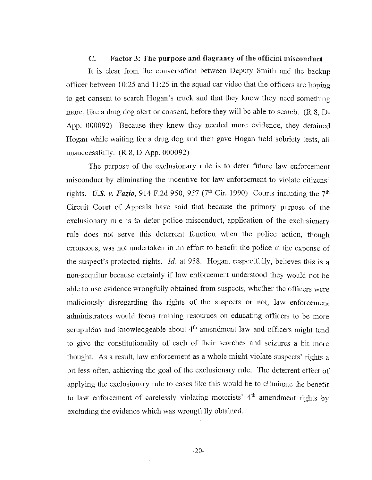#### C. Factor 3: The purpose and flagrancy of the official misconduct

It is clear from the conversation between Deputy Smith and the backup officer between 10:25 and 11 :25 in the squad car video that the officers are hoping to get consent to search Hogan's truck and that they know they need something more, like a drug dog alert or consent, before they will be able to search. (R 8, D-App. 000092) Because they knew they needed more evidence, they detained Hogan while waiting for a drug dog and then gave Hogan field sobriety tests, all unsuccessfully. (R 8, D-App. 000092)

The purpose of the exclusionary rule is to deter future law enforcement misconduct by eliminating the incentive for law enforcement to violate citizens' rights. *U.S. v. Fazio*, 914 F.2d 950, 957 (7<sup>th</sup> Cir. 1990) Courts including the 7<sup>th</sup> Circuit Court of Appeals have said that because the primary purpose of the exclusionary rule is to deter police misconduct, application of the exclusionary rule does not serve this deterrent function· when the police action, though erroneous, was not undertaken in an effort to benefit the police at the expense of the suspect's protected rights. *Id.* at 958. Hogan, respectfully, believes this is a non-sequitur because certainly if law enforcement understood they would not be able to use evidence wrongfully obtained from suspects, whether the officers were maliciously disregarding the rights of the suspects or not, law enforcement administrators would focus training resources on educating officers to be more scrupulous and knowledgeable about  $4<sup>th</sup>$  amendment law and officers might tend to give the constitutionality of each of their searches and seizures a bit more thought. As a result, law enforcement as a whole might violate suspects' rights a bit less often, achieving the goal of the exclusionary rule. The deterrent effect of applying the exclusionary rule to cases like this would be to eliminate the benefit to law enforcement of carelessly violating motorists'  $4<sup>th</sup>$  amendment rights by excluding the evidence which was wrongfully obtained.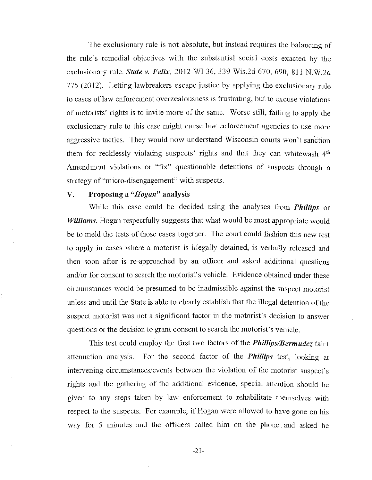The exclusionary rule is not absolute, but instead requires the balancing of the rule's remedial objectives with the substantial social costs exacted by the exclusionary rule. *State v. Felix,* 2012 WI 36, 339 Wis.2d 670, 690, 811 N.W.2d 775 (2012). Letting lawbreakers escape justice by applying the exclusionary rule to cases of law enforcement overzealousness is frustrating, but to excuse violations of motorists' rights is to invite more of the same. Worse still, failing to apply the exclusionary rule to this case might cause law enforcement agencies to use more aggressive tactics. They would now understand Wisconsin courts won't sanction them for recklessly violating suspects' rights and that they can whitewash  $4<sup>th</sup>$ Amendment violations or "fix" questionable detentions of suspects through a strategy of "micro-disengagement" with suspects.

#### V. Proposing a *"Hogan"* analysis

While this case could be decided usmg the analyses from *Phillips* or *Williams*, Hogan respectfully suggests that what would be most appropriate would be to meld the tests of those cases together. The court could fashion this new test to apply in cases where a motorist is illegally detained, is verbally released and then soon after is re-approached by an officer and asked additional questions and/or for consent to search the motorist's vehicle. Evidencc obtained under these circumstances would be presumed to be inadmissible against the suspect motorist unless and until the State is able to clearly establish that the illegal detention of the suspect motorist was not a significant factor in the motorist's decision to answer questions or the decision to grant consent to search the motorist's vehicle.

This test could employ the first two factors of the *Phillips/Bermudez* taint attenuation analysis. For the second factor of the *Phillips* test, looking at intervening circumstances/events between the violation of the motorist suspect's rights and the gathering of the additional evidence, special attention should be given to any steps taken by law enforcement to rehabilitate themselves with respect to the suspects. For example, if Hogan were allowed to have gone on his way for 5 minutes and the officers called him on the phone. and asked he

-21-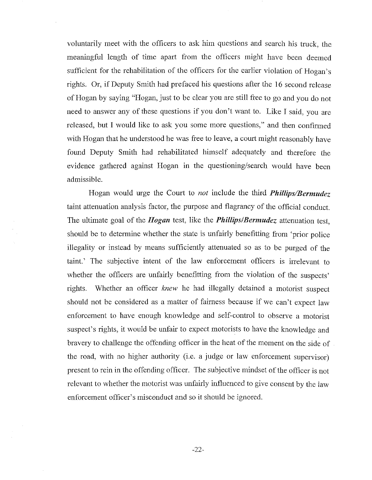voluntarily meet with the officers to ask him questions and search his truck, the meaningful length of time apart from the officers might have been deemed sufficient for the rehabilitation of the officers for the earlier violation of Hogan's rights. Or, if Deputy Smith had prefaced his questions after the 16 second release of Hogan by saying "Hogan, just to be clear you are still free to go and you do not need to answer any of these questions if you don't want to. Like I said, you are released, but I would like to ask you some more questions," and then confirmed with Hogan that he understood he was free to leave, a court might reasonably have found Deputy Smith had rehabilitated himself adequately and therefore the evidence gathered against Hogan in the questioning/search would have been admissible.

Hogan would urge the Court to *not* include the third *Phillips/Bermudez*  taint attenuation analysis factor, the purpose and flagrancy of the official conduct. The ultimate goal of the *Hogan* test, like the *Phillips/Bermudez* attenuation test, should be to determine whether the state is unfairly benefitting from 'prior police illegality or instead by means sufficiently attenuated so as to be purged of the taint.' The subjective intent of the law enforcement officers is irrelevant to whether the officers are unfairly benefitting from the violation of the suspects' rights. Whether an officer *knew* he had illegally detained a motorist suspect should not be considered as a matter of fairness because if we can't expect law enforcement to have enough knowledge and self-control to observe a motorist suspect's rights, it would be unfair to expect motorists to have the knowledge and bravery to challenge the offending officer in the heat of the moment on the side of the road, with no higher authority (i.e. a judge or law enforcement supervisor) present to rein in the offending officer. The subjective mindset of the officer is not relevant to whether the motorist was unfairly influenced to give consent by the law enforcement officer's misconduct and so it should be ignored.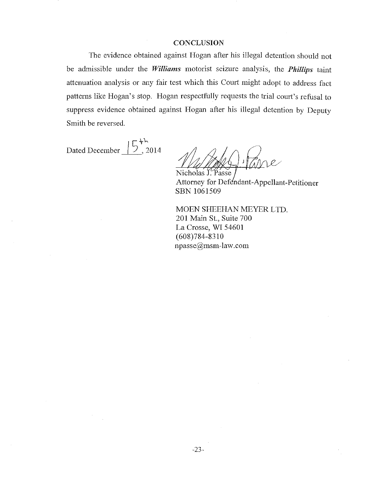#### **CONCLUSION**

The evidence obtained against Hogan after his illegal detention should not be admissible under the *Williams* motorist seizure analysis, the *Phillips* taint attenuation analysis or any fair test which this Court might adopt to address fact patterns like Hogan's stop. Hogan respectfully requests the trial court's refusal to suppress evidence obtained against Hogan after his illegal detention by Deputy Smith be reversed.

Dated December  $\sqrt{5}$ , 2014

 $Nicholas I. Passe$ 

Attorney for Defendant-Appellant-Petitioner SBN 1061509

MOEN SHEEHAN MEYER LTD. 201 Main St., Suite 700 La Crosse, WI 54601 (608)784-8310 npasse@msm-Iaw.com